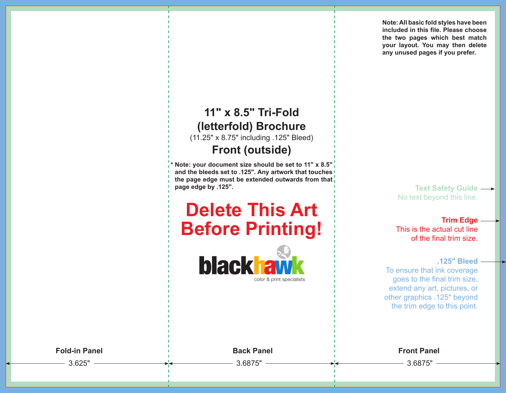**Note: All basic fold styles have been included in this file. Please choose the two pages which best match your layout. You may then delete any unused pages if you prefer.**

### **11" x 8.5" Tri-Fold (letterfold) Brochure**

(11.25" x 8.75" including .125" Bleed)

#### **Front (outside)**

**\* Note: your document size should be set to 11" x 8.5" and the bleeds set to .125". Any artwork that touches the page edge must be extended outwards from that page edge by .125".**

# **Delete This Art Before Printing!**



**Text Safety Guide**  No text beyond this line.

**Trim Edge**  This is the actual cut line of the final trim size.

**.125" Bleed** 

To ensure that ink coverage goes to the final trim size, extend any art, pictures, or other graphics .125" beyond the trim edge to this point.

3.625" 3.6875" 3.6875"

**Fold-in Panel Back Panel Front Panel**